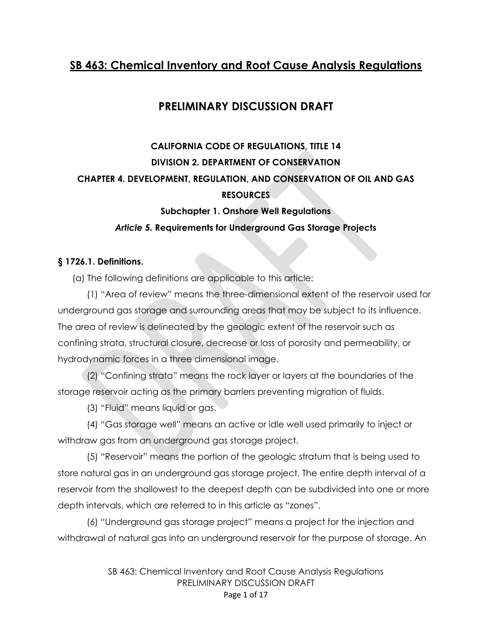## **SB 463: Chemical Inventory and Root Cause Analysis Regulations**

## **PRELIMINARY DISCUSSION DRAFT**

# **CALIFORNIA CODE OF REGULATIONS, TITLE 14 DIVISION 2. DEPARTMENT OF CONSERVATION CHAPTER 4. DEVELOPMENT, REGULATION, AND CONSERVATION OF OIL AND GAS RESOURCES**

## **Subchapter 1. Onshore Well Regulations** *Article 5.* **Requirements for Underground Gas Storage Projects**

### **§ 1726.1. Definitions.**

(a) The following definitions are applicable to this article:

(1) "Area of review" means the three-dimensional extent of the reservoir used for underground gas storage and surrounding areas that may be subject to its influence. The area of review is delineated by the geologic extent of the reservoir such as confining strata, structural closure, decrease or loss of porosity and permeability, or hydrodynamic forces in a three dimensional image.

(2) "Confining strata" means the rock layer or layers at the boundaries of the storage reservoir acting as the primary barriers preventing migration of fluids.

(3) "Fluid" means liquid or gas.

(4) "Gas storage well" means an active or idle well used primarily to inject or withdraw gas from an underground gas storage project.

(5) "Reservoir" means the portion of the geologic stratum that is being used to store natural gas in an underground gas storage project. The entire depth interval of a reservoir from the shallowest to the deepest depth can be subdivided into one or more depth intervals, which are referred to in this article as "zones".

(6) "Underground gas storage project" means a project for the injection and withdrawal of natural gas into an underground reservoir for the purpose of storage. An

> SB 463: Chemical Inventory and Root Cause Analysis Regulations PRELIMINARY DISCUSSION DRAFT Page 1 of 17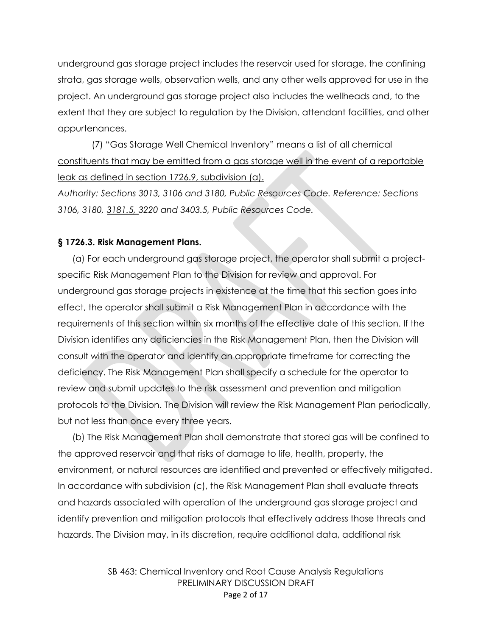underground gas storage project includes the reservoir used for storage, the confining strata, gas storage wells, observation wells, and any other wells approved for use in the project. An underground gas storage project also includes the wellheads and, to the extent that they are subject to regulation by the Division, attendant facilities, and other appurtenances.

 (7) "Gas Storage Well Chemical Inventory" means a list of all chemical constituents that may be emitted from a gas storage well in the event of a reportable leak as defined in section 1726.9, subdivision (a).

*Authority: Sections 3013, 3106 and 3180, Public Resources Code. Reference: Sections 3106, 3180, 3181.5, 3220 and 3403.5, Public Resources Code.* 

#### **§ 1726.3. Risk Management Plans.**

(a) For each underground gas storage project, the operator shall submit a projectspecific Risk Management Plan to the Division for review and approval. For underground gas storage projects in existence at the time that this section goes into effect, the operator shall submit a Risk Management Plan in accordance with the requirements of this section within six months of the effective date of this section. If the Division identifies any deficiencies in the Risk Management Plan, then the Division will consult with the operator and identify an appropriate timeframe for correcting the deficiency. The Risk Management Plan shall specify a schedule for the operator to review and submit updates to the risk assessment and prevention and mitigation protocols to the Division. The Division will review the Risk Management Plan periodically, but not less than once every three years.

(b) The Risk Management Plan shall demonstrate that stored gas will be confined to the approved reservoir and that risks of damage to life, health, property, the environment, or natural resources are identified and prevented or effectively mitigated. In accordance with subdivision (c), the Risk Management Plan shall evaluate threats and hazards associated with operation of the underground gas storage project and identify prevention and mitigation protocols that effectively address those threats and hazards. The Division may, in its discretion, require additional data, additional risk

> SB 463: Chemical Inventory and Root Cause Analysis Regulations PRELIMINARY DISCUSSION DRAFT Page 2 of 17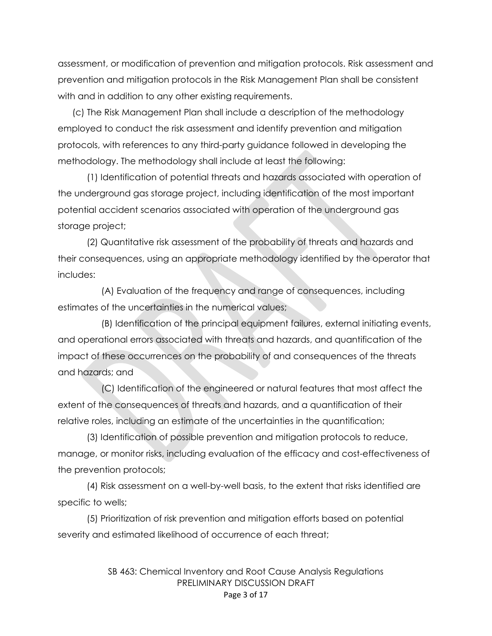assessment, or modification of prevention and mitigation protocols. Risk assessment and prevention and mitigation protocols in the Risk Management Plan shall be consistent with and in addition to any other existing requirements.

(c) The Risk Management Plan shall include a description of the methodology employed to conduct the risk assessment and identify prevention and mitigation protocols, with references to any third-party guidance followed in developing the methodology. The methodology shall include at least the following:

(1) Identification of potential threats and hazards associated with operation of the underground gas storage project, including identification of the most important potential accident scenarios associated with operation of the underground gas storage project;

(2) Quantitative risk assessment of the probability of threats and hazards and their consequences, using an appropriate methodology identified by the operator that includes:

(A) Evaluation of the frequency and range of consequences, including estimates of the uncertainties in the numerical values;

(B) Identification of the principal equipment failures, external initiating events, and operational errors associated with threats and hazards, and quantification of the impact of these occurrences on the probability of and consequences of the threats and hazards; and

(C) Identification of the engineered or natural features that most affect the extent of the consequences of threats and hazards, and a quantification of their relative roles, including an estimate of the uncertainties in the quantification;

(3) Identification of possible prevention and mitigation protocols to reduce, manage, or monitor risks, including evaluation of the efficacy and cost-effectiveness of the prevention protocols;

(4) Risk assessment on a well-by-well basis, to the extent that risks identified are specific to wells;

(5) Prioritization of risk prevention and mitigation efforts based on potential severity and estimated likelihood of occurrence of each threat;

> SB 463: Chemical Inventory and Root Cause Analysis Regulations PRELIMINARY DISCUSSION DRAFT Page 3 of 17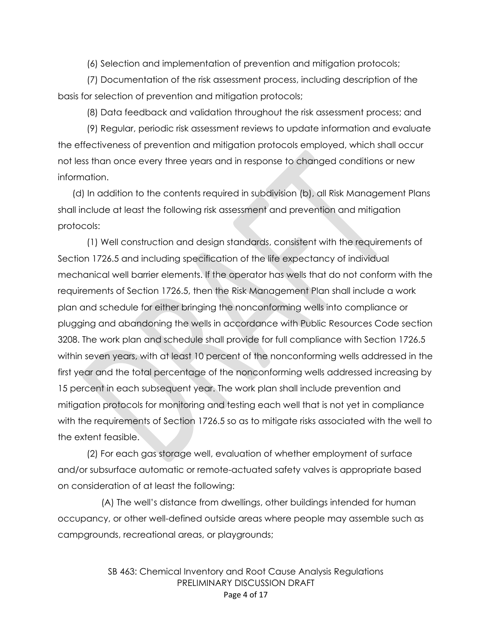(6) Selection and implementation of prevention and mitigation protocols;

(7) Documentation of the risk assessment process, including description of the basis for selection of prevention and mitigation protocols;

(8) Data feedback and validation throughout the risk assessment process; and

(9) Regular, periodic risk assessment reviews to update information and evaluate the effectiveness of prevention and mitigation protocols employed, which shall occur not less than once every three years and in response to changed conditions or new information.

(d) In addition to the contents required in subdivision (b), all Risk Management Plans shall include at least the following risk assessment and prevention and mitigation protocols:

(1) Well construction and design standards, consistent with the requirements of Section 1726.5 and including specification of the life expectancy of individual mechanical well barrier elements. If the operator has wells that do not conform with the requirements of Section 1726.5, then the Risk Management Plan shall include a work plan and schedule for either bringing the nonconforming wells into compliance or plugging and abandoning the wells in accordance with Public Resources Code section 3208. The work plan and schedule shall provide for full compliance with Section 1726.5 within seven years, with at least 10 percent of the nonconforming wells addressed in the first year and the total percentage of the nonconforming wells addressed increasing by 15 percent in each subsequent year. The work plan shall include prevention and mitigation protocols for monitoring and testing each well that is not yet in compliance with the requirements of Section 1726.5 so as to mitigate risks associated with the well to the extent feasible.

(2) For each gas storage well, evaluation of whether employment of surface and/or subsurface automatic or remote-actuated safety valves is appropriate based on consideration of at least the following:

(A) The well's distance from dwellings, other buildings intended for human occupancy, or other well-defined outside areas where people may assemble such as campgrounds, recreational areas, or playgrounds;

> SB 463: Chemical Inventory and Root Cause Analysis Regulations PRELIMINARY DISCUSSION DRAFT Page 4 of 17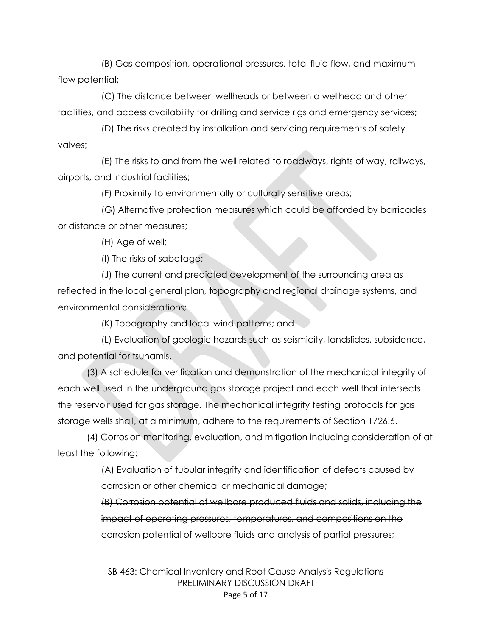(B) Gas composition, operational pressures, total fluid flow, and maximum flow potential;

(C) The distance between wellheads or between a wellhead and other facilities, and access availability for drilling and service rigs and emergency services;

(D) The risks created by installation and servicing requirements of safety valves;

(E) The risks to and from the well related to roadways, rights of way, railways, airports, and industrial facilities;

(F) Proximity to environmentally or culturally sensitive areas;

(G) Alternative protection measures which could be afforded by barricades or distance or other measures;

(H) Age of well;

(I) The risks of sabotage;

(J) The current and predicted development of the surrounding area as reflected in the local general plan, topography and regional drainage systems, and environmental considerations;

(K) Topography and local wind patterns; and

(L) Evaluation of geologic hazards such as seismicity, landslides, subsidence, and potential for tsunamis.

(3) A schedule for verification and demonstration of the mechanical integrity of each well used in the underground gas storage project and each well that intersects the reservoir used for gas storage. The mechanical integrity testing protocols for gas storage wells shall, at a minimum, adhere to the requirements of Section 1726.6.

(4) Corrosion monitoring, evaluation, and mitigation including consideration of at least the following:

> (A) Evaluation of tubular integrity and identification of defects caused by corrosion or other chemical or mechanical damage;

(B) Corrosion potential of wellbore produced fluids and solids, including the impact of operating pressures, temperatures, and compositions on the corrosion potential of wellbore fluids and analysis of partial pressures;

SB 463: Chemical Inventory and Root Cause Analysis Regulations PRELIMINARY DISCUSSION DRAFT Page 5 of 17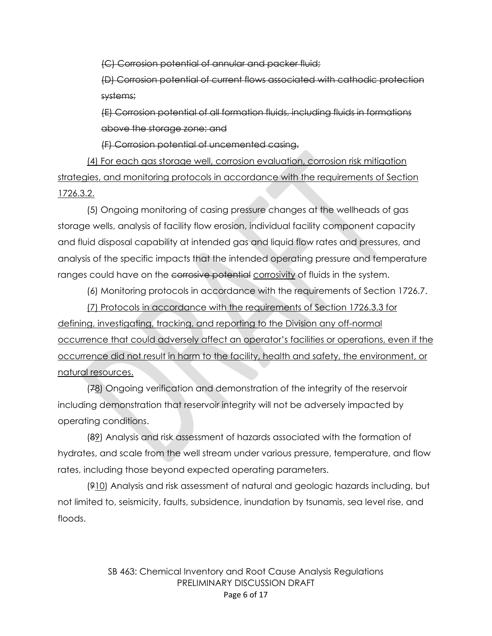(C) Corrosion potential of annular and packer fluid;

(D) Corrosion potential of current flows associated with cathodic protection systems;

(E) Corrosion potential of all formation fluids, including fluids in formations above the storage zone; and

(F) Corrosion potential of uncemented casing.

(4) For each gas storage well, corrosion evaluation, corrosion risk mitigation strategies, and monitoring protocols in accordance with the requirements of Section 1726.3.2.

(5) Ongoing monitoring of casing pressure changes at the wellheads of gas storage wells, analysis of facility flow erosion, individual facility component capacity and fluid disposal capability at intended gas and liquid flow rates and pressures, and analysis of the specific impacts that the intended operating pressure and temperature ranges could have on the corrosive potential corrosivity of fluids in the system.

(6) Monitoring protocols in accordance with the requirements of Section 1726.7.

(7) Protocols in accordance with the requirements of Section 1726.3.3 for defining, investigating, tracking, and reporting to the Division any off-normal occurrence that could adversely affect an operator's facilities or operations, even if the occurrence did not result in harm to the facility, health and safety, the environment, or natural resources.

(78) Ongoing verification and demonstration of the integrity of the reservoir including demonstration that reservoir integrity will not be adversely impacted by operating conditions.

(89) Analysis and risk assessment of hazards associated with the formation of hydrates, and scale from the well stream under various pressure, temperature, and flow rates, including those beyond expected operating parameters.

(910) Analysis and risk assessment of natural and geologic hazards including, but not limited to, seismicity, faults, subsidence, inundation by tsunamis, sea level rise, and floods.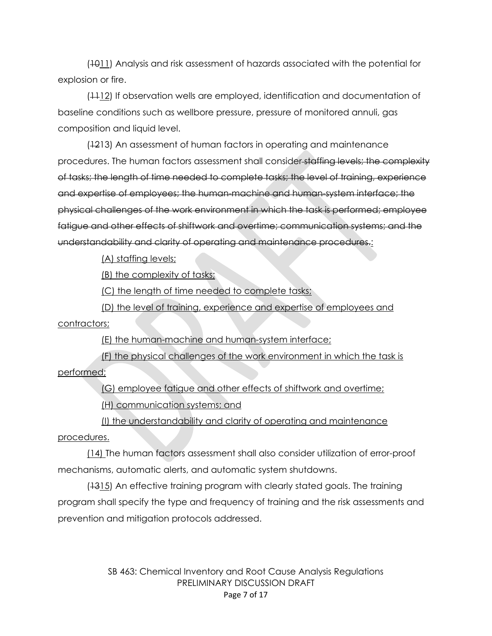(1011) Analysis and risk assessment of hazards associated with the potential for explosion or fire.

(1112) If observation wells are employed, identification and documentation of baseline conditions such as wellbore pressure, pressure of monitored annuli, gas composition and liquid level.

(1213) An assessment of human factors in operating and maintenance procedures. The human factors assessment shall consider staffing levels; the complexity of tasks; the length of time needed to complete tasks; the level of training, experience and expertise of employees; the human-machine and human-system interface; the physical challenges of the work environment in which the task is performed; employee fatigue and other effects of shiftwork and overtime; communication systems; and the understandability and clarity of operating and maintenance procedures.

(A) staffing levels;

(B) the complexity of tasks;

(C) the length of time needed to complete tasks;

(D) the level of training, experience and expertise of employees and contractors;

(E) the human-machine and human-system interface;

(F) the physical challenges of the work environment in which the task is performed;

(G) employee fatigue and other effects of shiftwork and overtime;

(H) communication systems; and

(I) the understandability and clarity of operating and maintenance procedures.

(14) The human factors assessment shall also consider utilization of error-proof mechanisms, automatic alerts, and automatic system shutdowns.

(1315) An effective training program with clearly stated goals. The training program shall specify the type and frequency of training and the risk assessments and prevention and mitigation protocols addressed.

> SB 463: Chemical Inventory and Root Cause Analysis Regulations PRELIMINARY DISCUSSION DRAFT Page 7 of 17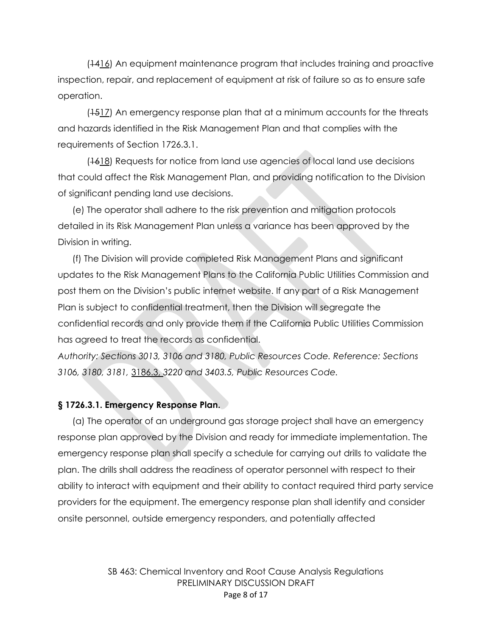(1416) An equipment maintenance program that includes training and proactive inspection, repair, and replacement of equipment at risk of failure so as to ensure safe operation.

(+517) An emergency response plan that at a minimum accounts for the threats and hazards identified in the Risk Management Plan and that complies with the requirements of Section 1726.3.1.

(1618) Requests for notice from land use agencies of local land use decisions that could affect the Risk Management Plan, and providing notification to the Division of significant pending land use decisions.

(e) The operator shall adhere to the risk prevention and mitigation protocols detailed in its Risk Management Plan unless a variance has been approved by the Division in writing.

(f) The Division will provide completed Risk Management Plans and significant updates to the Risk Management Plans to the California Public Utilities Commission and post them on the Division's public internet website. If any part of a Risk Management Plan is subject to confidential treatment, then the Division will segregate the confidential records and only provide them if the California Public Utilities Commission has agreed to treat the records as confidential.

*Authority: Sections 3013, 3106 and 3180, Public Resources Code. Reference: Sections 3106, 3180, 3181,* 3186.3, *3220 and 3403.5, Public Resources Code.* 

#### **§ 1726.3.1. Emergency Response Plan.**

(a) The operator of an underground gas storage project shall have an emergency response plan approved by the Division and ready for immediate implementation. The emergency response plan shall specify a schedule for carrying out drills to validate the plan. The drills shall address the readiness of operator personnel with respect to their ability to interact with equipment and their ability to contact required third party service providers for the equipment. The emergency response plan shall identify and consider onsite personnel, outside emergency responders, and potentially affected

> SB 463: Chemical Inventory and Root Cause Analysis Regulations PRELIMINARY DISCUSSION DRAFT Page 8 of 17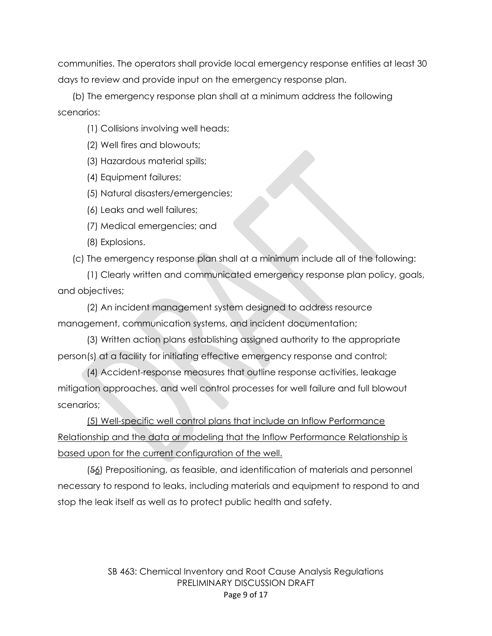communities. The operators shall provide local emergency response entities at least 30 days to review and provide input on the emergency response plan.

(b) The emergency response plan shall at a minimum address the following scenarios:

(1) Collisions involving well heads;

(2) Well fires and blowouts;

(3) Hazardous material spills;

(4) Equipment failures;

(5) Natural disasters/emergencies;

(6) Leaks and well failures;

(7) Medical emergencies; and

(8) Explosions.

(c) The emergency response plan shall at a minimum include all of the following:

(1) Clearly written and communicated emergency response plan policy, goals, and objectives;

(2) An incident management system designed to address resource management, communication systems, and incident documentation;

(3) Written action plans establishing assigned authority to the appropriate person(s) at a facility for initiating effective emergency response and control;

(4) Accident-response measures that outline response activities, leakage mitigation approaches, and well control processes for well failure and full blowout scenarios;

(5) Well-specific well control plans that include an Inflow Performance Relationship and the data or modeling that the Inflow Performance Relationship is based upon for the current configuration of the well.

(56) Prepositioning, as feasible, and identification of materials and personnel necessary to respond to leaks, including materials and equipment to respond to and stop the leak itself as well as to protect public health and safety.

> SB 463: Chemical Inventory and Root Cause Analysis Regulations PRELIMINARY DISCUSSION DRAFT Page 9 of 17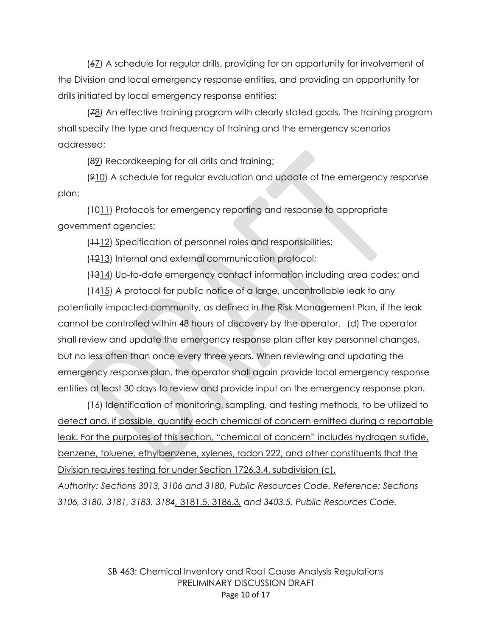(67) A schedule for regular drills, providing for an opportunity for involvement of the Division and local emergency response entities, and providing an opportunity for drills initiated by local emergency response entities;

(78) An effective training program with clearly stated goals. The training program shall specify the type and frequency of training and the emergency scenarios addressed;

(89) Recordkeeping for all drills and training;

(910) A schedule for regular evaluation and update of the emergency response plan;

 $(1011)$  Protocols for emergency reporting and response to appropriate government agencies;

(+412) Specification of personnel roles and responsibilities;

(1213) Internal and external communication protocol;

(1314) Up-to-date emergency contact information including area codes; and

(1415) A protocol for public notice of a large, uncontrollable leak to any potentially impacted community, as defined in the Risk Management Plan, if the leak cannot be controlled within 48 hours of discovery by the operator. (d) The operator shall review and update the emergency response plan after key personnel changes, but no less often than once every three years. When reviewing and updating the emergency response plan, the operator shall again provide local emergency response entities at least 30 days to review and provide input on the emergency response plan.

(16) Identification of monitoring, sampling, and testing methods, to be utilized to detect and, if possible, quantify each chemical of concern emitted during a reportable leak. For the purposes of this section, "chemical of concern" includes hydrogen sulfide, benzene, toluene, ethylbenzene, xylenes, radon 222, and other constituents that the Division requires testing for under Section 1726.3.4, subdivision (c).

*Authority: Sections 3013, 3106 and 3180, Public Resources Code. Reference: Sections 3106, 3180, 3181, 3183, 3184,* 3181.5, 3186.3*, and 3403.5, Public Resources Code.*

> SB 463: Chemical Inventory and Root Cause Analysis Regulations PRELIMINARY DISCUSSION DRAFT Page 10 of 17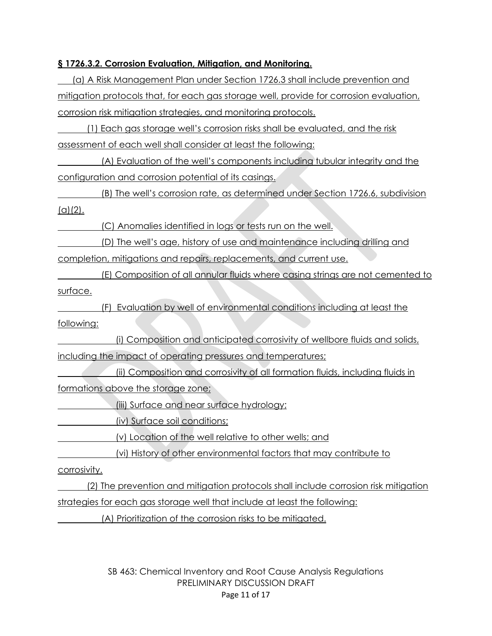### **§ 1726.3.2. Corrosion Evaluation, Mitigation, and Monitoring.**

(a) A Risk Management Plan under Section 1726.3 shall include prevention and mitigation protocols that, for each gas storage well, provide for corrosion evaluation, corrosion risk mitigation strategies, and monitoring protocols.

(1) Each gas storage well's corrosion risks shall be evaluated, and the risk assessment of each well shall consider at least the following:

(A) Evaluation of the well's components including tubular integrity and the configuration and corrosion potential of its casings.

(B) The well's corrosion rate, as determined under Section 1726.6, subdivision  $(a)(2)$ .

(C) Anomalies identified in logs or tests run on the well.

(D) The well's age, history of use and maintenance including drilling and completion, mitigations and repairs, replacements, and current use.

(E) Composition of all annular fluids where casing strings are not cemented to surface.

(F) Evaluation by well of environmental conditions including at least the following:

(i) Composition and anticipated corrosivity of wellbore fluids and solids, including the impact of operating pressures and temperatures;

(ii) Composition and corrosivity of all formation fluids, including fluids in formations above the storage zone;

(iii) Surface and near surface hydrology;

(iv) Surface soil conditions;

(v) Location of the well relative to other wells; and

(vi) History of other environmental factors that may contribute to

corrosivity.

(2) The prevention and mitigation protocols shall include corrosion risk mitigation strategies for each gas storage well that include at least the following:

(A) Prioritization of the corrosion risks to be mitigated.

SB 463: Chemical Inventory and Root Cause Analysis Regulations PRELIMINARY DISCUSSION DRAFT Page 11 of 17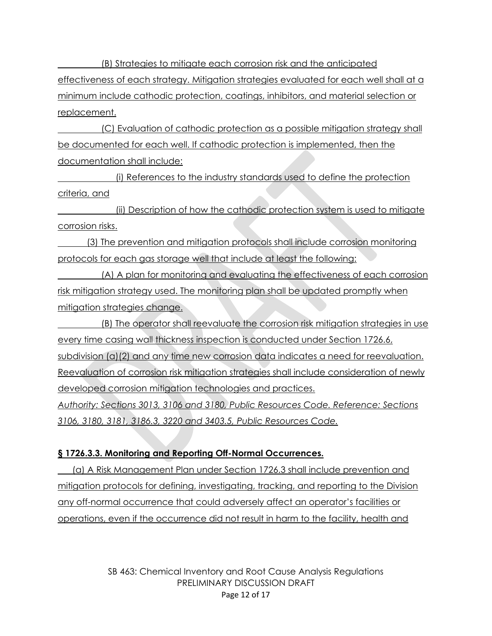(B) Strategies to mitigate each corrosion risk and the anticipated effectiveness of each strategy. Mitigation strategies evaluated for each well shall at a minimum include cathodic protection, coatings, inhibitors, and material selection or replacement.

(C) Evaluation of cathodic protection as a possible mitigation strategy shall be documented for each well. If cathodic protection is implemented, then the documentation shall include:

(i) References to the industry standards used to define the protection criteria, and

(ii) Description of how the cathodic protection system is used to mitigate corrosion risks.

(3) The prevention and mitigation protocols shall include corrosion monitoring protocols for each gas storage well that include at least the following:

(A) A plan for monitoring and evaluating the effectiveness of each corrosion risk mitigation strategy used. The monitoring plan shall be updated promptly when mitigation strategies change.

(B) The operator shall reevaluate the corrosion risk mitigation strategies in use every time casing wall thickness inspection is conducted under Section 1726.6, subdivision (a)(2) and any time new corrosion data indicates a need for reevaluation. Reevaluation of corrosion risk mitigation strategies shall include consideration of newly developed corrosion mitigation technologies and practices. *Authority: Sections 3013, 3106 and 3180, Public Resources Code. Reference: Sections 3106, 3180, 3181, 3186.3, 3220 and 3403.5, Public Resources Code.*

### **§ 1726.3.3. Monitoring and Reporting Off-Normal Occurrences.**

(a) A Risk Management Plan under Section 1726.3 shall include prevention and mitigation protocols for defining, investigating, tracking, and reporting to the Division any off-normal occurrence that could adversely affect an operator's facilities or operations, even if the occurrence did not result in harm to the facility, health and

> SB 463: Chemical Inventory and Root Cause Analysis Regulations PRELIMINARY DISCUSSION DRAFT Page 12 of 17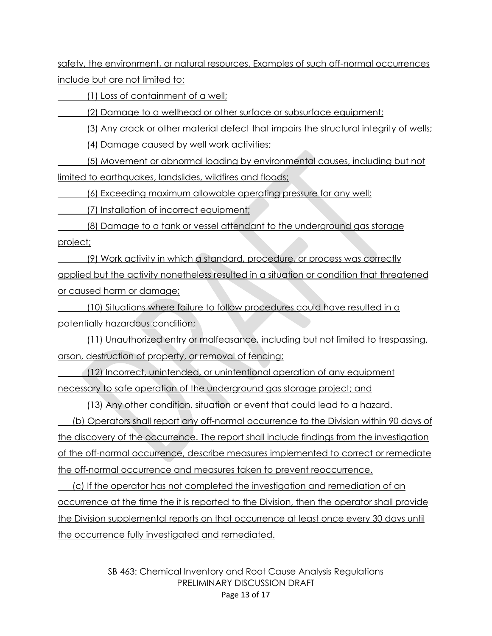safety, the environment, or natural resources. Examples of such off-normal occurrences include but are not limited to:

(1) Loss of containment of a well;

(2) Damage to a wellhead or other surface or subsurface equipment;

(3) Any crack or other material defect that impairs the structural integrity of wells;

(4) Damage caused by well work activities;

(5) Movement or abnormal loading by environmental causes, including but not limited to earthquakes, landslides, wildfires and floods;

(6) Exceeding maximum allowable operating pressure for any well;

(7) Installation of incorrect equipment;

(8) Damage to a tank or vessel attendant to the underground gas storage project;

(9) Work activity in which a standard, procedure, or process was correctly applied but the activity nonetheless resulted in a situation or condition that threatened or caused harm or damage;

(10) Situations where failure to follow procedures could have resulted in a potentially hazardous condition;

(11) Unauthorized entry or malfeasance, including but not limited to trespassing, arson, destruction of property, or removal of fencing;

(12) Incorrect, unintended, or unintentional operation of any equipment necessary to safe operation of the underground gas storage project; and

(13) Any other condition, situation or event that could lead to a hazard.

(b) Operators shall report any off-normal occurrence to the Division within 90 days of the discovery of the occurrence. The report shall include findings from the investigation of the off-normal occurrence, describe measures implemented to correct or remediate the off-normal occurrence and measures taken to prevent reoccurrence.

(c) If the operator has not completed the investigation and remediation of an occurrence at the time the it is reported to the Division, then the operator shall provide the Division supplemental reports on that occurrence at least once every 30 days until the occurrence fully investigated and remediated.

> SB 463: Chemical Inventory and Root Cause Analysis Regulations PRELIMINARY DISCUSSION DRAFT Page 13 of 17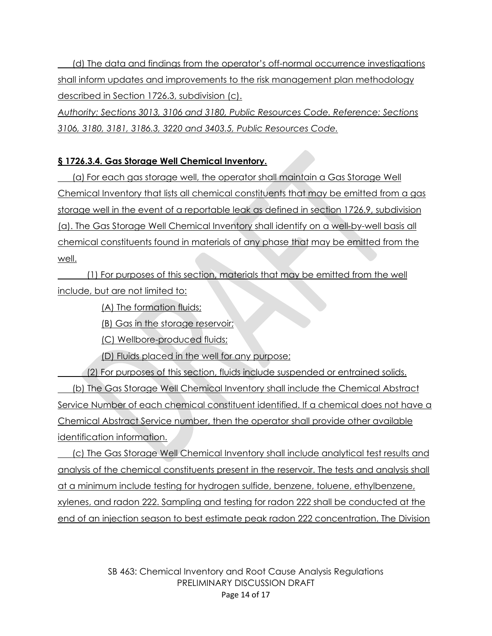(d) The data and findings from the operator's off-normal occurrence investigations shall inform updates and improvements to the risk management plan methodology described in Section 1726.3, subdivision (c).

*Authority: Sections 3013, 3106 and 3180, Public Resources Code. Reference: Sections 3106, 3180, 3181, 3186.3, 3220 and 3403.5, Public Resources Code.*

## **§ 1726.3.4. Gas Storage Well Chemical Inventory.**

(a) For each gas storage well, the operator shall maintain a Gas Storage Well Chemical Inventory that lists all chemical constituents that may be emitted from a gas storage well in the event of a reportable leak as defined in section 1726.9, subdivision (a). The Gas Storage Well Chemical Inventory shall identify on a well-by-well basis all chemical constituents found in materials of any phase that may be emitted from the well.

(1) For purposes of this section, materials that may be emitted from the well include, but are not limited to:

(A) The formation fluids;

(B) Gas in the storage reservoir;

(C) Wellbore-produced fluids;

(D) Fluids placed in the well for any purpose;

(2) For purposes of this section, fluids include suspended or entrained solids. (b) The Gas Storage Well Chemical Inventory shall include the Chemical Abstract Service Number of each chemical constituent identified. If a chemical does not have a Chemical Abstract Service number, then the operator shall provide other available identification information.

(c) The Gas Storage Well Chemical Inventory shall include analytical test results and analysis of the chemical constituents present in the reservoir. The tests and analysis shall at a minimum include testing for hydrogen sulfide, benzene, toluene, ethylbenzene, xylenes, and radon 222. Sampling and testing for radon 222 shall be conducted at the end of an injection season to best estimate peak radon 222 concentration. The Division

> SB 463: Chemical Inventory and Root Cause Analysis Regulations PRELIMINARY DISCUSSION DRAFT Page 14 of 17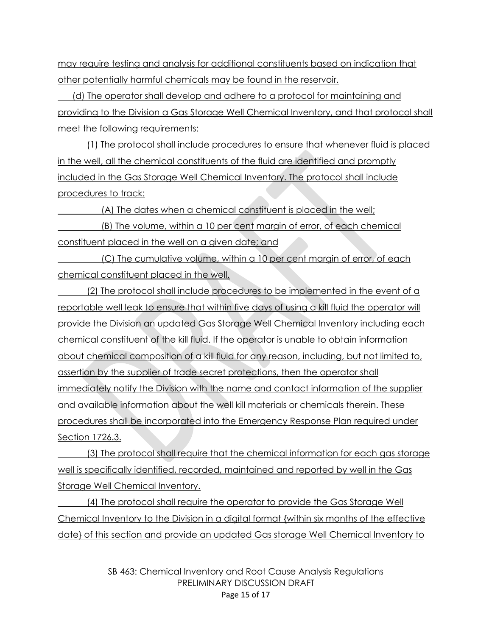may require testing and analysis for additional constituents based on indication that other potentially harmful chemicals may be found in the reservoir.

(d) The operator shall develop and adhere to a protocol for maintaining and providing to the Division a Gas Storage Well Chemical Inventory, and that protocol shall meet the following requirements:

(1) The protocol shall include procedures to ensure that whenever fluid is placed in the well, all the chemical constituents of the fluid are identified and promptly included in the Gas Storage Well Chemical Inventory. The protocol shall include procedures to track:

(A) The dates when a chemical constituent is placed in the well;

(B) The volume, within a 10 per cent margin of error, of each chemical constituent placed in the well on a given date; and

(C) The cumulative volume, within a 10 per cent margin of error, of each chemical constituent placed in the well.

(2) The protocol shall include procedures to be implemented in the event of a reportable well leak to ensure that within five days of using a kill fluid the operator will provide the Division an updated Gas Storage Well Chemical Inventory including each chemical constituent of the kill fluid. If the operator is unable to obtain information about chemical composition of a kill fluid for any reason, including, but not limited to, assertion by the supplier of trade secret protections, then the operator shall immediately notify the Division with the name and contact information of the supplier and available information about the well kill materials or chemicals therein. These procedures shall be incorporated into the Emergency Response Plan required under Section 1726.3.

(3) The protocol shall require that the chemical information for each gas storage well is specifically identified, recorded, maintained and reported by well in the Gas Storage Well Chemical Inventory.

(4) The protocol shall require the operator to provide the Gas Storage Well Chemical Inventory to the Division in a digital format {within six months of the effective date} of this section and provide an updated Gas storage Well Chemical Inventory to

> SB 463: Chemical Inventory and Root Cause Analysis Regulations PRELIMINARY DISCUSSION DRAFT Page 15 of 17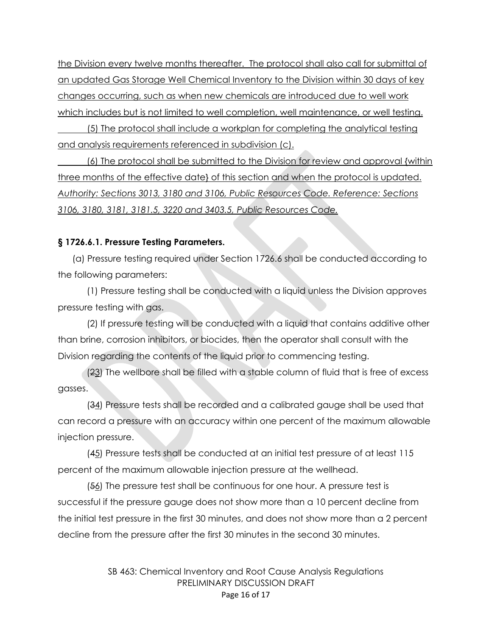the Division every twelve months thereafter. The protocol shall also call for submittal of an updated Gas Storage Well Chemical Inventory to the Division within 30 days of key changes occurring, such as when new chemicals are introduced due to well work which includes but is not limited to well completion, well maintenance, or well testing.

 (5) The protocol shall include a workplan for completing the analytical testing and analysis requirements referenced in subdivision (c).

(6) The protocol shall be submitted to the Division for review and approval {within three months of the effective date} of this section and when the protocol is updated. *Authority: Sections 3013, 3180 and 3106, Public Resources Code. Reference: Sections 3106, 3180, 3181, 3181.5, 3220 and 3403.5, Public Resources Code.*

#### **§ 1726.6.1. Pressure Testing Parameters.**

(a) Pressure testing required under Section 1726.6 shall be conducted according to the following parameters:

(1) Pressure testing shall be conducted with a liquid unless the Division approves pressure testing with gas.

(2) If pressure testing will be conducted with a liquid that contains additive other than brine, corrosion inhibitors, or biocides, then the operator shall consult with the Division regarding the contents of the liquid prior to commencing testing.

(23) The wellbore shall be filled with a stable column of fluid that is free of excess gasses.

(34) Pressure tests shall be recorded and a calibrated gauge shall be used that can record a pressure with an accuracy within one percent of the maximum allowable injection pressure.

(45) Pressure tests shall be conducted at an initial test pressure of at least 115 percent of the maximum allowable injection pressure at the wellhead.

(56) The pressure test shall be continuous for one hour. A pressure test is successful if the pressure gauge does not show more than a 10 percent decline from the initial test pressure in the first 30 minutes, and does not show more than a 2 percent decline from the pressure after the first 30 minutes in the second 30 minutes.

> SB 463: Chemical Inventory and Root Cause Analysis Regulations PRELIMINARY DISCUSSION DRAFT Page 16 of 17